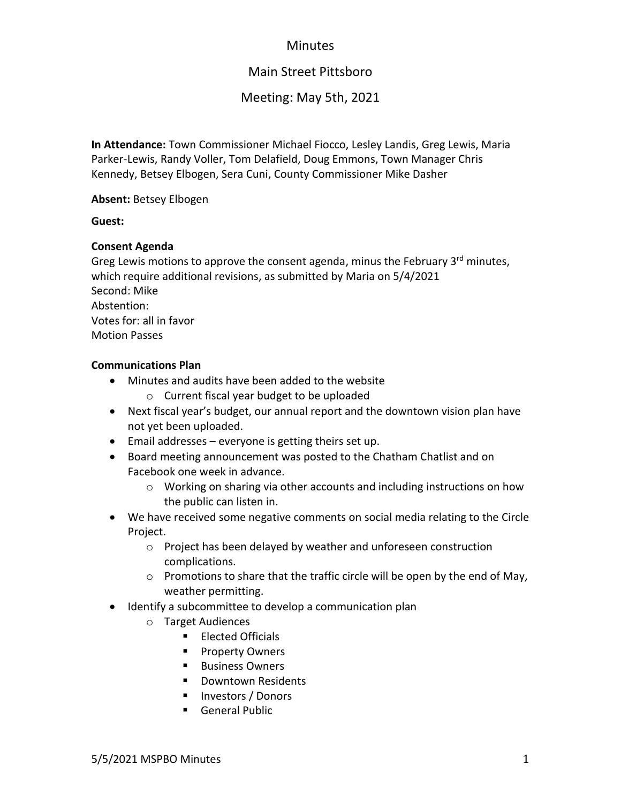## **Minutes**

# Main Street Pittsboro

## Meeting: May 5th, 2021

**In Attendance:** Town Commissioner Michael Fiocco, Lesley Landis, Greg Lewis, Maria Parker-Lewis, Randy Voller, Tom Delafield, Doug Emmons, Town Manager Chris Kennedy, Betsey Elbogen, Sera Cuni, County Commissioner Mike Dasher

**Absent:** Betsey Elbogen

**Guest:**

### **Consent Agenda**

Greg Lewis motions to approve the consent agenda, minus the February  $3<sup>rd</sup>$  minutes, which require additional revisions, as submitted by Maria on 5/4/2021 Second: Mike Abstention: Votes for: all in favor Motion Passes

### **Communications Plan**

- Minutes and audits have been added to the website
	- o Current fiscal year budget to be uploaded
- Next fiscal year's budget, our annual report and the downtown vision plan have not yet been uploaded.
- Email addresses everyone is getting theirs set up.
- Board meeting announcement was posted to the Chatham Chatlist and on Facebook one week in advance.
	- o Working on sharing via other accounts and including instructions on how the public can listen in.
- We have received some negative comments on social media relating to the Circle Project.
	- o Project has been delayed by weather and unforeseen construction complications.
	- o Promotions to share that the traffic circle will be open by the end of May, weather permitting.
- Identify a subcommittee to develop a communication plan
	- o Target Audiences
		- Elected Officials
		- Property Owners
		- Business Owners
		- Downtown Residents
		- Investors / Donors
		- General Public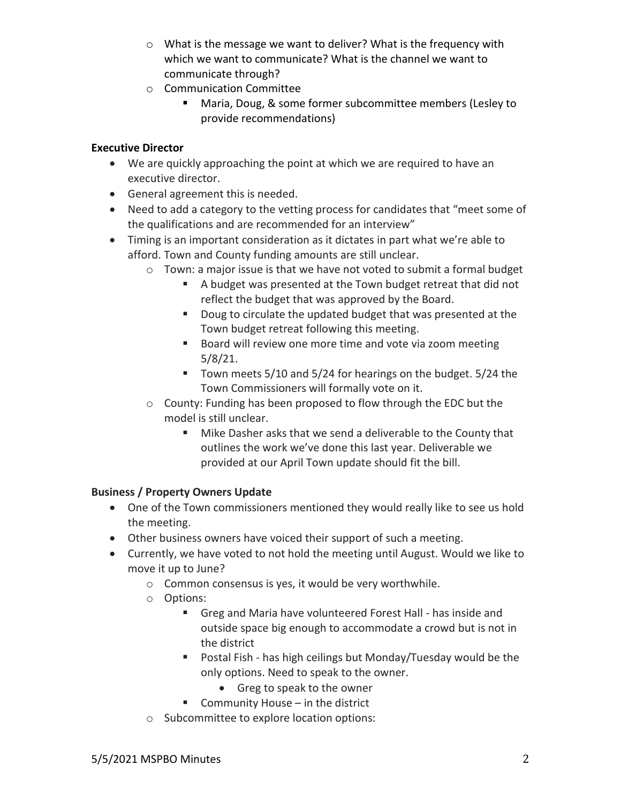- o What is the message we want to deliver? What is the frequency with which we want to communicate? What is the channel we want to communicate through?
- o Communication Committee
	- Maria, Doug, & some former subcommittee members (Lesley to provide recommendations)

## **Executive Director**

- We are quickly approaching the point at which we are required to have an executive director.
- General agreement this is needed.
- Need to add a category to the vetting process for candidates that "meet some of the qualifications and are recommended for an interview"
- Timing is an important consideration as it dictates in part what we're able to afford. Town and County funding amounts are still unclear.
	- o Town: a major issue is that we have not voted to submit a formal budget
		- A budget was presented at the Town budget retreat that did not reflect the budget that was approved by the Board.
		- Doug to circulate the updated budget that was presented at the Town budget retreat following this meeting.
		- Board will review one more time and vote via zoom meeting 5/8/21.
		- Town meets 5/10 and 5/24 for hearings on the budget. 5/24 the Town Commissioners will formally vote on it.
	- o County: Funding has been proposed to flow through the EDC but the model is still unclear.
		- Mike Dasher asks that we send a deliverable to the County that outlines the work we've done this last year. Deliverable we provided at our April Town update should fit the bill.

### **Business / Property Owners Update**

- One of the Town commissioners mentioned they would really like to see us hold the meeting.
- Other business owners have voiced their support of such a meeting.
- Currently, we have voted to not hold the meeting until August. Would we like to move it up to June?
	- o Common consensus is yes, it would be very worthwhile.
	- o Options:
		- Greg and Maria have volunteered Forest Hall has inside and outside space big enough to accommodate a crowd but is not in the district
		- Postal Fish has high ceilings but Monday/Tuesday would be the only options. Need to speak to the owner.
			- Greg to speak to the owner
		- **•** Community House in the district
	- o Subcommittee to explore location options: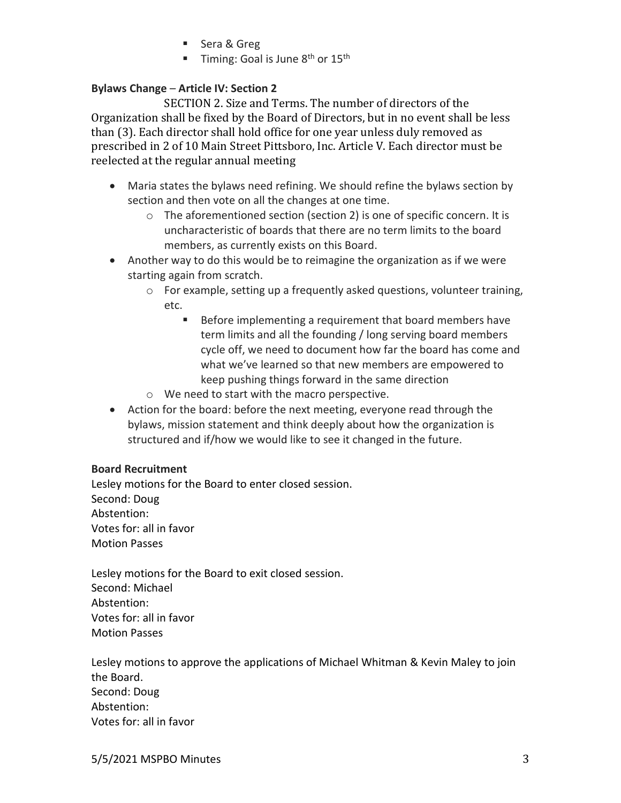- Sera & Greg
- **Timing:** Goal is June  $8^{th}$  or  $15^{th}$

## **Bylaws Change** – **Article IV: Section 2**

SECTION 2. Size and Terms. The number of directors of the Organization shall be fixed by the Board of Directors, but in no event shall be less than (3). Each director shall hold office for one year unless duly removed as prescribed in 2 of 10 Main Street Pittsboro, Inc. Article V. Each director must be reelected at the regular annual meeting

- Maria states the bylaws need refining. We should refine the bylaws section by section and then vote on all the changes at one time.
	- o The aforementioned section (section 2) is one of specific concern. It is uncharacteristic of boards that there are no term limits to the board members, as currently exists on this Board.
- Another way to do this would be to reimagine the organization as if we were starting again from scratch.
	- o For example, setting up a frequently asked questions, volunteer training, etc.
		- Before implementing a requirement that board members have term limits and all the founding / long serving board members cycle off, we need to document how far the board has come and what we've learned so that new members are empowered to keep pushing things forward in the same direction
	- o We need to start with the macro perspective.
- Action for the board: before the next meeting, everyone read through the bylaws, mission statement and think deeply about how the organization is structured and if/how we would like to see it changed in the future.

### **Board Recruitment**

Lesley motions for the Board to enter closed session. Second: Doug Abstention: Votes for: all in favor Motion Passes

Lesley motions for the Board to exit closed session. Second: Michael Abstention: Votes for: all in favor Motion Passes

Lesley motions to approve the applications of Michael Whitman & Kevin Maley to join the Board. Second: Doug Abstention: Votes for: all in favor